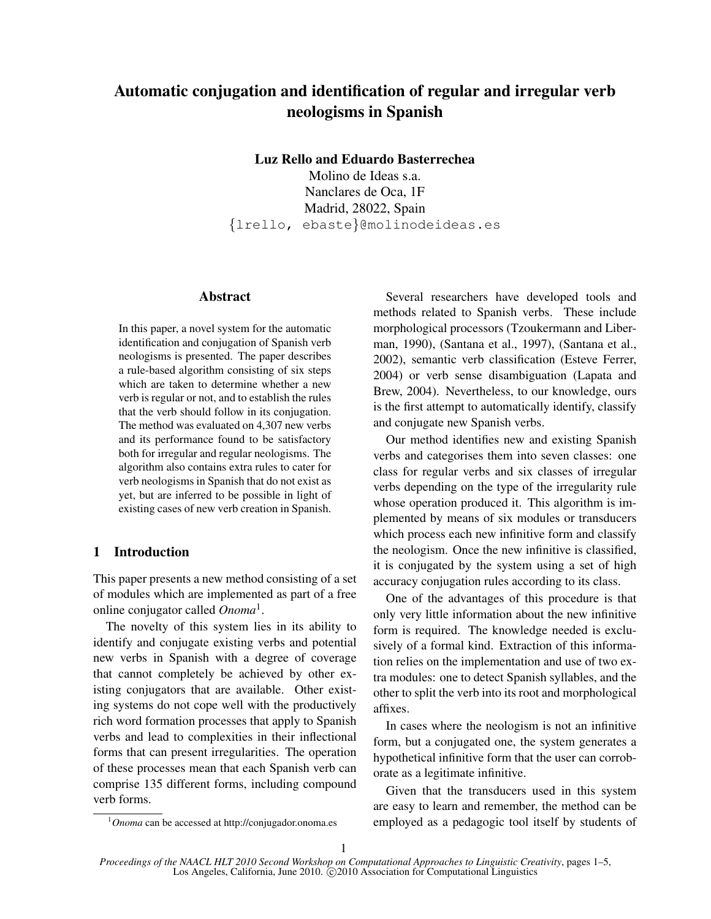# Automatic conjugation and identification of regular and irregular verb neologisms in Spanish

Luz Rello and Eduardo Basterrechea

Molino de Ideas s.a. Nanclares de Oca, 1F Madrid, 28022, Spain {lrello, ebaste}@molinodeideas.es

#### Abstract

In this paper, a novel system for the automatic identification and conjugation of Spanish verb neologisms is presented. The paper describes a rule-based algorithm consisting of six steps which are taken to determine whether a new verb is regular or not, and to establish the rules that the verb should follow in its conjugation. The method was evaluated on 4,307 new verbs and its performance found to be satisfactory both for irregular and regular neologisms. The algorithm also contains extra rules to cater for verb neologisms in Spanish that do not exist as yet, but are inferred to be possible in light of existing cases of new verb creation in Spanish.

## 1 Introduction

This paper presents a new method consisting of a set of modules which are implemented as part of a free online conjugator called *Onoma*<sup>1</sup> .

The novelty of this system lies in its ability to identify and conjugate existing verbs and potential new verbs in Spanish with a degree of coverage that cannot completely be achieved by other existing conjugators that are available. Other existing systems do not cope well with the productively rich word formation processes that apply to Spanish verbs and lead to complexities in their inflectional forms that can present irregularities. The operation of these processes mean that each Spanish verb can comprise 135 different forms, including compound verb forms.

Several researchers have developed tools and methods related to Spanish verbs. These include morphological processors (Tzoukermann and Liberman, 1990), (Santana et al., 1997), (Santana et al., 2002), semantic verb classification (Esteve Ferrer, 2004) or verb sense disambiguation (Lapata and Brew, 2004). Nevertheless, to our knowledge, ours is the first attempt to automatically identify, classify and conjugate new Spanish verbs.

Our method identifies new and existing Spanish verbs and categorises them into seven classes: one class for regular verbs and six classes of irregular verbs depending on the type of the irregularity rule whose operation produced it. This algorithm is implemented by means of six modules or transducers which process each new infinitive form and classify the neologism. Once the new infinitive is classified, it is conjugated by the system using a set of high accuracy conjugation rules according to its class.

One of the advantages of this procedure is that only very little information about the new infinitive form is required. The knowledge needed is exclusively of a formal kind. Extraction of this information relies on the implementation and use of two extra modules: one to detect Spanish syllables, and the other to split the verb into its root and morphological affixes.

In cases where the neologism is not an infinitive form, but a conjugated one, the system generates a hypothetical infinitive form that the user can corroborate as a legitimate infinitive.

Given that the transducers used in this system are easy to learn and remember, the method can be employed as a pedagogic tool itself by students of

<sup>1</sup>*Onoma* can be accessed at http://conjugador.onoma.es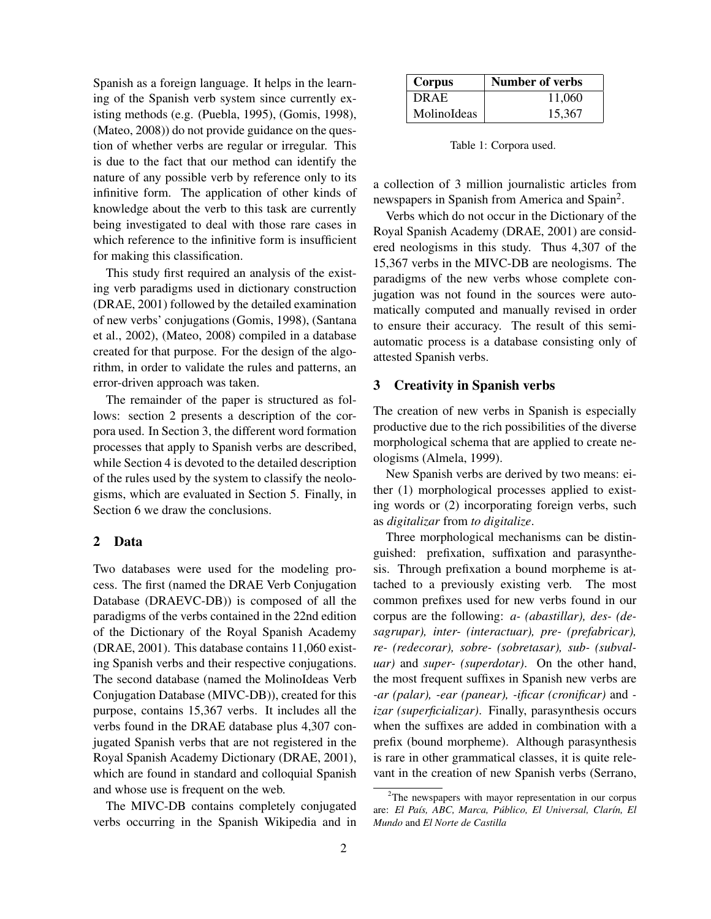Spanish as a foreign language. It helps in the learning of the Spanish verb system since currently existing methods (e.g. (Puebla, 1995), (Gomis, 1998), (Mateo, 2008)) do not provide guidance on the question of whether verbs are regular or irregular. This is due to the fact that our method can identify the nature of any possible verb by reference only to its infinitive form. The application of other kinds of knowledge about the verb to this task are currently being investigated to deal with those rare cases in which reference to the infinitive form is insufficient for making this classification.

This study first required an analysis of the existing verb paradigms used in dictionary construction (DRAE, 2001) followed by the detailed examination of new verbs' conjugations (Gomis, 1998), (Santana et al., 2002), (Mateo, 2008) compiled in a database created for that purpose. For the design of the algorithm, in order to validate the rules and patterns, an error-driven approach was taken.

The remainder of the paper is structured as follows: section 2 presents a description of the corpora used. In Section 3, the different word formation processes that apply to Spanish verbs are described, while Section 4 is devoted to the detailed description of the rules used by the system to classify the neologisms, which are evaluated in Section 5. Finally, in Section 6 we draw the conclusions.

#### 2 Data

Two databases were used for the modeling process. The first (named the DRAE Verb Conjugation Database (DRAEVC-DB)) is composed of all the paradigms of the verbs contained in the 22nd edition of the Dictionary of the Royal Spanish Academy (DRAE, 2001). This database contains 11,060 existing Spanish verbs and their respective conjugations. The second database (named the MolinoIdeas Verb Conjugation Database (MIVC-DB)), created for this purpose, contains 15,367 verbs. It includes all the verbs found in the DRAE database plus 4,307 conjugated Spanish verbs that are not registered in the Royal Spanish Academy Dictionary (DRAE, 2001), which are found in standard and colloquial Spanish and whose use is frequent on the web.

The MIVC-DB contains completely conjugated verbs occurring in the Spanish Wikipedia and in

| Corpus      | Number of verbs |  |
|-------------|-----------------|--|
| DRAE        | 11,060          |  |
| MolinoIdeas | 15.367          |  |

Table 1: Corpora used.

a collection of 3 million journalistic articles from newspapers in Spanish from America and Spain<sup>2</sup>.

Verbs which do not occur in the Dictionary of the Royal Spanish Academy (DRAE, 2001) are considered neologisms in this study. Thus 4,307 of the 15,367 verbs in the MIVC-DB are neologisms. The paradigms of the new verbs whose complete conjugation was not found in the sources were automatically computed and manually revised in order to ensure their accuracy. The result of this semiautomatic process is a database consisting only of attested Spanish verbs.

#### 3 Creativity in Spanish verbs

The creation of new verbs in Spanish is especially productive due to the rich possibilities of the diverse morphological schema that are applied to create neologisms (Almela, 1999).

New Spanish verbs are derived by two means: either (1) morphological processes applied to existing words or (2) incorporating foreign verbs, such as *digitalizar* from *to digitalize*.

Three morphological mechanisms can be distinguished: prefixation, suffixation and parasynthesis. Through prefixation a bound morpheme is attached to a previously existing verb. The most common prefixes used for new verbs found in our corpus are the following: *a- (abastillar), des- (desagrupar), inter- (interactuar), pre- (prefabricar), re- (redecorar), sobre- (sobretasar), sub- (subvaluar)* and *super- (superdotar)*. On the other hand, the most frequent suffixes in Spanish new verbs are *-ar (palar), -ear (panear), -ificar (cronificar)* and  *izar (superficializar)*. Finally, parasynthesis occurs when the suffixes are added in combination with a prefix (bound morpheme). Although parasynthesis is rare in other grammatical classes, it is quite relevant in the creation of new Spanish verbs (Serrano,

<sup>&</sup>lt;sup>2</sup>The newspapers with mayor representation in our corpus are: *El País, ABC, Marca, Público, El Universal, Clarín, El Mundo* and *El Norte de Castilla*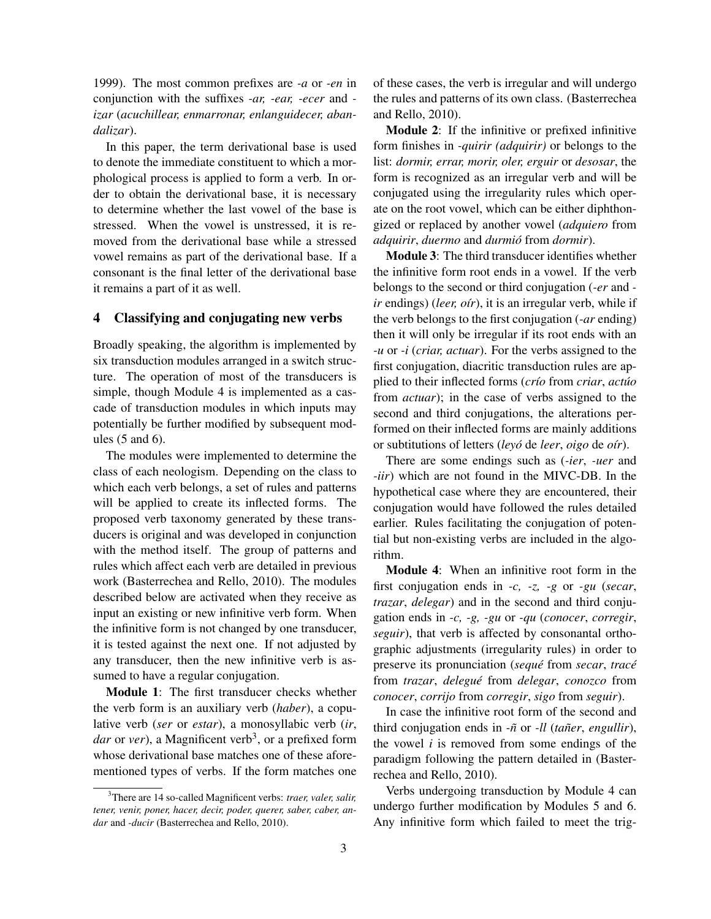1999). The most common prefixes are *-a* or *-en* in conjunction with the suffixes *-ar, -ear, -ecer* and  *izar* (*acuchillear, enmarronar, enlanguidecer, abandalizar*).

In this paper, the term derivational base is used to denote the immediate constituent to which a morphological process is applied to form a verb. In order to obtain the derivational base, it is necessary to determine whether the last vowel of the base is stressed. When the vowel is unstressed, it is removed from the derivational base while a stressed vowel remains as part of the derivational base. If a consonant is the final letter of the derivational base it remains a part of it as well.

#### 4 Classifying and conjugating new verbs

Broadly speaking, the algorithm is implemented by six transduction modules arranged in a switch structure. The operation of most of the transducers is simple, though Module 4 is implemented as a cascade of transduction modules in which inputs may potentially be further modified by subsequent modules (5 and 6).

The modules were implemented to determine the class of each neologism. Depending on the class to which each verb belongs, a set of rules and patterns will be applied to create its inflected forms. The proposed verb taxonomy generated by these transducers is original and was developed in conjunction with the method itself. The group of patterns and rules which affect each verb are detailed in previous work (Basterrechea and Rello, 2010). The modules described below are activated when they receive as input an existing or new infinitive verb form. When the infinitive form is not changed by one transducer, it is tested against the next one. If not adjusted by any transducer, then the new infinitive verb is assumed to have a regular conjugation.

Module 1: The first transducer checks whether the verb form is an auxiliary verb (*haber*), a copulative verb (*ser* or *estar*), a monosyllabic verb (*ir*, dar or *ver*), a Magnificent verb<sup>3</sup>, or a prefixed form whose derivational base matches one of these aforementioned types of verbs. If the form matches one of these cases, the verb is irregular and will undergo the rules and patterns of its own class. (Basterrechea and Rello, 2010).

Module 2: If the infinitive or prefixed infinitive form finishes in *-quirir (adquirir)* or belongs to the list: *dormir, errar, morir, oler, erguir* or *desosar*, the form is recognized as an irregular verb and will be conjugated using the irregularity rules which operate on the root vowel, which can be either diphthongized or replaced by another vowel (*adquiero* from *adquirir*, *duermo* and *durmio´* from *dormir*).

Module 3: The third transducer identifies whether the infinitive form root ends in a vowel. If the verb belongs to the second or third conjugation (*-er* and  *ir* endings) (*leer, oir*), it is an irregular verb, while if the verb belongs to the first conjugation (*-ar* ending) then it will only be irregular if its root ends with an *-u* or *-i* (*criar, actuar*). For the verbs assigned to the first conjugation, diacritic transduction rules are applied to their inflected forms (*crío* from *criar*, *actúo* from *actuar*); in the case of verbs assigned to the second and third conjugations, the alterations performed on their inflected forms are mainly additions or subtitutions of letters (*leyo´* de *leer*, *oigo* de *o´ır*).

There are some endings such as (*-ier*, *-uer* and *-iir*) which are not found in the MIVC-DB. In the hypothetical case where they are encountered, their conjugation would have followed the rules detailed earlier. Rules facilitating the conjugation of potential but non-existing verbs are included in the algorithm.

Module 4: When an infinitive root form in the first conjugation ends in *-c, -z, -g* or *-gu* (*secar*, *trazar*, *delegar*) and in the second and third conjugation ends in *-c, -g, -gu* or *-qu* (*conocer*, *corregir*, *seguir*), that verb is affected by consonantal orthographic adjustments (irregularity rules) in order to preserve its pronunciation (*seque´* from *secar*, *trace´* from *trazar*, *delegue´* from *delegar*, *conozco* from *conocer*, *corrijo* from *corregir*, *sigo* from *seguir*).

In case the infinitive root form of the second and third conjugation ends in  $-\tilde{n}$  or *-ll (tañer, engullir),* the vowel *i* is removed from some endings of the paradigm following the pattern detailed in (Basterrechea and Rello, 2010).

Verbs undergoing transduction by Module 4 can undergo further modification by Modules 5 and 6. Any infinitive form which failed to meet the trig-

<sup>3</sup>There are 14 so-called Magnificent verbs: *traer, valer, salir, tener, venir, poner, hacer, decir, poder, querer, saber, caber, andar* and *-ducir* (Basterrechea and Rello, 2010).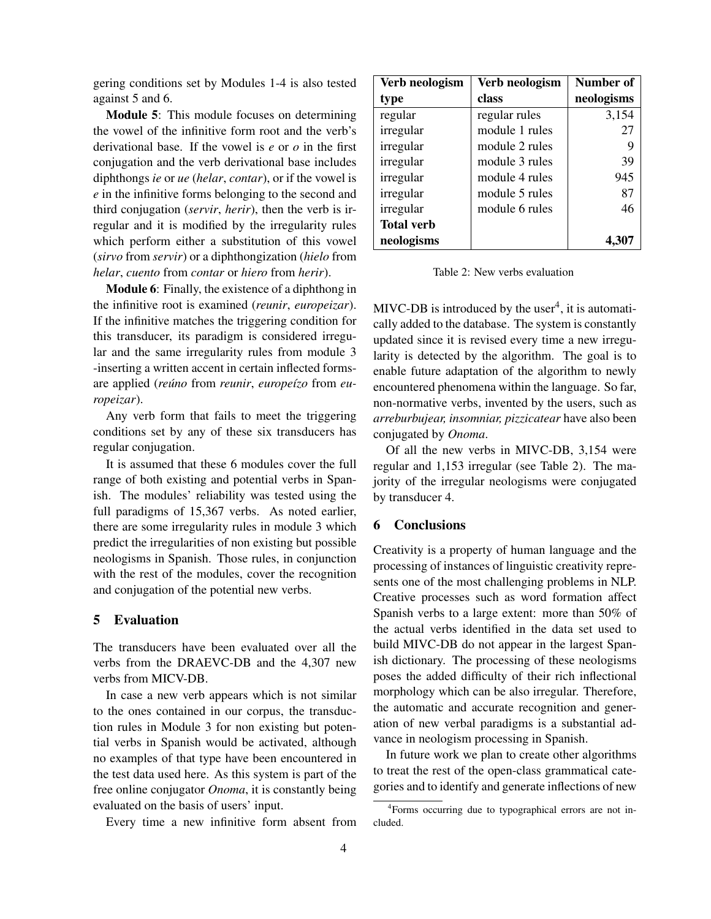gering conditions set by Modules 1-4 is also tested against 5 and 6.

Module 5: This module focuses on determining the vowel of the infinitive form root and the verb's derivational base. If the vowel is *e* or *o* in the first conjugation and the verb derivational base includes diphthongs *ie* or *ue* (*helar*, *contar*), or if the vowel is *e* in the infinitive forms belonging to the second and third conjugation (*servir*, *herir*), then the verb is irregular and it is modified by the irregularity rules which perform either a substitution of this vowel (*sirvo* from *servir*) or a diphthongization (*hielo* from *helar*, *cuento* from *contar* or *hiero* from *herir*).

Module 6: Finally, the existence of a diphthong in the infinitive root is examined (*reunir*, *europeizar*). If the infinitive matches the triggering condition for this transducer, its paradigm is considered irregular and the same irregularity rules from module 3 -inserting a written accent in certain inflected formsare applied (*reúno* from *reunir*, *europeízo* from *europeizar*).

Any verb form that fails to meet the triggering conditions set by any of these six transducers has regular conjugation.

It is assumed that these 6 modules cover the full range of both existing and potential verbs in Spanish. The modules' reliability was tested using the full paradigms of 15,367 verbs. As noted earlier, there are some irregularity rules in module 3 which predict the irregularities of non existing but possible neologisms in Spanish. Those rules, in conjunction with the rest of the modules, cover the recognition and conjugation of the potential new verbs.

### 5 Evaluation

The transducers have been evaluated over all the verbs from the DRAEVC-DB and the 4,307 new verbs from MICV-DB.

In case a new verb appears which is not similar to the ones contained in our corpus, the transduction rules in Module 3 for non existing but potential verbs in Spanish would be activated, although no examples of that type have been encountered in the test data used here. As this system is part of the free online conjugator *Onoma*, it is constantly being evaluated on the basis of users' input.

Every time a new infinitive form absent from

| Verb neologism    | Verb neologism | Number of  |
|-------------------|----------------|------------|
| type              | class          | neologisms |
| regular           | regular rules  | 3,154      |
| irregular         | module 1 rules | 27         |
| irregular         | module 2 rules | 9          |
| irregular         | module 3 rules | 39         |
| irregular         | module 4 rules | 945        |
| irregular         | module 5 rules | 87         |
| irregular         | module 6 rules | 46         |
| <b>Total verb</b> |                |            |
| neologisms        |                | 4.307      |

Table 2: New verbs evaluation

MIVC-DB is introduced by the user<sup>4</sup>, it is automatically added to the database. The system is constantly updated since it is revised every time a new irregularity is detected by the algorithm. The goal is to enable future adaptation of the algorithm to newly encountered phenomena within the language. So far, non-normative verbs, invented by the users, such as *arreburbujear, insomniar, pizzicatear* have also been conjugated by *Onoma*.

Of all the new verbs in MIVC-DB, 3,154 were regular and 1,153 irregular (see Table 2). The majority of the irregular neologisms were conjugated by transducer 4.

## 6 Conclusions

Creativity is a property of human language and the processing of instances of linguistic creativity represents one of the most challenging problems in NLP. Creative processes such as word formation affect Spanish verbs to a large extent: more than 50% of the actual verbs identified in the data set used to build MIVC-DB do not appear in the largest Spanish dictionary. The processing of these neologisms poses the added difficulty of their rich inflectional morphology which can be also irregular. Therefore, the automatic and accurate recognition and generation of new verbal paradigms is a substantial advance in neologism processing in Spanish.

In future work we plan to create other algorithms to treat the rest of the open-class grammatical categories and to identify and generate inflections of new

<sup>&</sup>lt;sup>4</sup> Forms occurring due to typographical errors are not included.